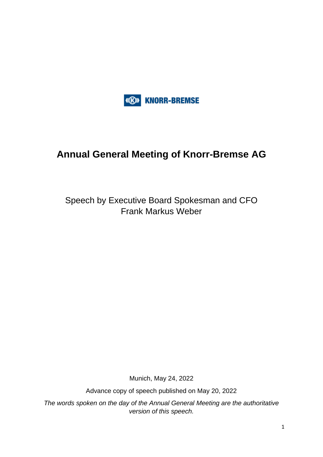

## **Annual General Meeting of Knorr-Bremse AG**

Speech by Executive Board Spokesman and CFO Frank Markus Weber

Munich, May 24, 2022

Advance copy of speech published on May 20, 2022

*The words spoken on the day of the Annual General Meeting are the authoritative version of this speech.*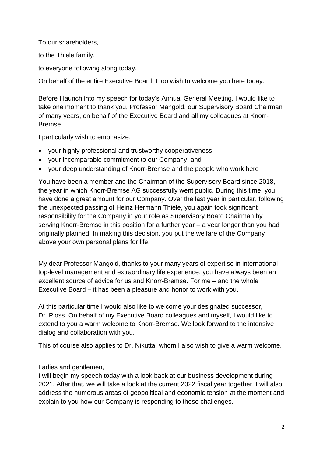To our shareholders,

to the Thiele family,

to everyone following along today,

On behalf of the entire Executive Board, I too wish to welcome you here today.

Before I launch into my speech for today's Annual General Meeting, I would like to take one moment to thank you, Professor Mangold, our Supervisory Board Chairman of many years, on behalf of the Executive Board and all my colleagues at Knorr-Bremse.

I particularly wish to emphasize:

- your highly professional and trustworthy cooperativeness
- your incomparable commitment to our Company, and
- your deep understanding of Knorr-Bremse and the people who work here

You have been a member and the Chairman of the Supervisory Board since 2018, the year in which Knorr-Bremse AG successfully went public. During this time, you have done a great amount for our Company. Over the last year in particular, following the unexpected passing of Heinz Hermann Thiele, you again took significant responsibility for the Company in your role as Supervisory Board Chairman by serving Knorr-Bremse in this position for a further year – a year longer than you had originally planned. In making this decision, you put the welfare of the Company above your own personal plans for life.

My dear Professor Mangold, thanks to your many years of expertise in international top-level management and extraordinary life experience, you have always been an excellent source of advice for us and Knorr-Bremse. For me – and the whole Executive Board – it has been a pleasure and honor to work with you.

At this particular time I would also like to welcome your designated successor, Dr. Ploss. On behalf of my Executive Board colleagues and myself, I would like to extend to you a warm welcome to Knorr-Bremse. We look forward to the intensive dialog and collaboration with you.

This of course also applies to Dr. Nikutta, whom I also wish to give a warm welcome.

## Ladies and gentlemen,

I will begin my speech today with a look back at our business development during 2021. After that, we will take a look at the current 2022 fiscal year together. I will also address the numerous areas of geopolitical and economic tension at the moment and explain to you how our Company is responding to these challenges.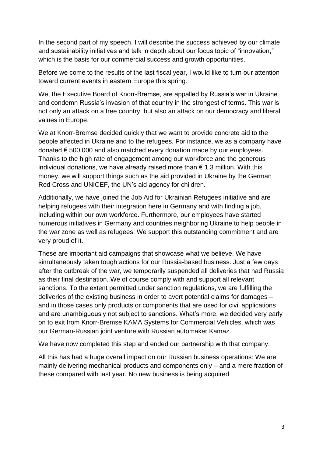In the second part of my speech, I will describe the success achieved by our climate and sustainability initiatives and talk in depth about our focus topic of "innovation," which is the basis for our commercial success and growth opportunities.

Before we come to the results of the last fiscal year, I would like to turn our attention toward current events in eastern Europe this spring.

We, the Executive Board of Knorr-Bremse, are appalled by Russia's war in Ukraine and condemn Russia's invasion of that country in the strongest of terms. This war is not only an attack on a free country, but also an attack on our democracy and liberal values in Europe.

We at Knorr-Bremse decided quickly that we want to provide concrete aid to the people affected in Ukraine and to the refugees. For instance, we as a company have donated € 500,000 and also matched every donation made by our employees. Thanks to the high rate of engagement among our workforce and the generous individual donations, we have already raised more than  $\epsilon$  1.3 million. With this money, we will support things such as the aid provided in Ukraine by the German Red Cross and UNICEF, the UN's aid agency for children.

Additionally, we have joined the Job Aid for Ukrainian Refugees initiative and are helping refugees with their integration here in Germany and with finding a job, including within our own workforce. Furthermore, our employees have started numerous initiatives in Germany and countries neighboring Ukraine to help people in the war zone as well as refugees. We support this outstanding commitment and are very proud of it.

These are important aid campaigns that showcase what we believe. We have simultaneously taken tough actions for our Russia-based business. Just a few days after the outbreak of the war, we temporarily suspended all deliveries that had Russia as their final destination. We of course comply with and support all relevant sanctions. To the extent permitted under sanction regulations, we are fulfilling the deliveries of the existing business in order to avert potential claims for damages – and in those cases only products or components that are used for civil applications and are unambiguously not subject to sanctions. What's more, we decided very early on to exit from Knorr-Bremse KAMA Systems for Commercial Vehicles, which was our German-Russian joint venture with Russian automaker Kamaz.

We have now completed this step and ended our partnership with that company.

All this has had a huge overall impact on our Russian business operations: We are mainly delivering mechanical products and components only – and a mere fraction of these compared with last year. No new business is being acquired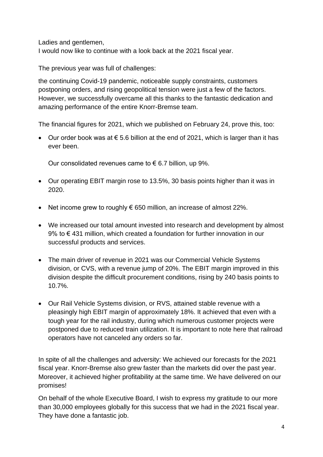Ladies and gentlemen,

I would now like to continue with a look back at the 2021 fiscal year.

The previous year was full of challenges:

the continuing Covid-19 pandemic, noticeable supply constraints, customers postponing orders, and rising geopolitical tension were just a few of the factors. However, we successfully overcame all this thanks to the fantastic dedication and amazing performance of the entire Knorr-Bremse team.

The financial figures for 2021, which we published on February 24, prove this, too:

• Our order book was at € 5.6 billion at the end of 2021, which is larger than it has ever been.

Our consolidated revenues came to  $\epsilon$  6.7 billion, up 9%.

- Our operating EBIT margin rose to 13.5%, 30 basis points higher than it was in 2020.
- Net income grew to roughly  $\epsilon$  650 million, an increase of almost 22%.
- We increased our total amount invested into research and development by almost 9% to €431 million, which created a foundation for further innovation in our successful products and services.
- The main driver of revenue in 2021 was our Commercial Vehicle Systems division, or CVS, with a revenue jump of 20%. The EBIT margin improved in this division despite the difficult procurement conditions, rising by 240 basis points to 10.7%.
- Our Rail Vehicle Systems division, or RVS, attained stable revenue with a pleasingly high EBIT margin of approximately 18%. It achieved that even with a tough year for the rail industry, during which numerous customer projects were postponed due to reduced train utilization. It is important to note here that railroad operators have not canceled any orders so far.

In spite of all the challenges and adversity: We achieved our forecasts for the 2021 fiscal year. Knorr-Bremse also grew faster than the markets did over the past year. Moreover, it achieved higher profitability at the same time. We have delivered on our promises!

On behalf of the whole Executive Board, I wish to express my gratitude to our more than 30,000 employees globally for this success that we had in the 2021 fiscal year. They have done a fantastic job.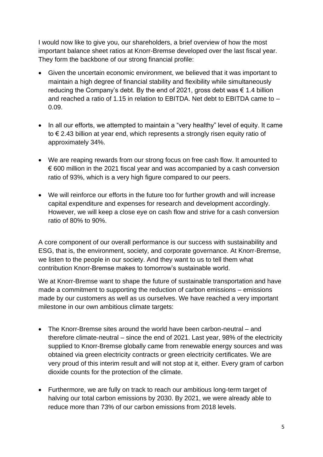I would now like to give you, our shareholders, a brief overview of how the most important balance sheet ratios at Knorr-Bremse developed over the last fiscal year. They form the backbone of our strong financial profile:

- Given the uncertain economic environment, we believed that it was important to maintain a high degree of financial stability and flexibility while simultaneously reducing the Company's debt. By the end of 2021, gross debt was  $\epsilon$  1.4 billion and reached a ratio of 1.15 in relation to EBITDA. Net debt to EBITDA came to – 0.09.
- In all our efforts, we attempted to maintain a "very healthy" level of equity. It came to € 2.43 billion at year end, which represents a strongly risen equity ratio of approximately 34%.
- We are reaping rewards from our strong focus on free cash flow. It amounted to  $\epsilon$  600 million in the 2021 fiscal year and was accompanied by a cash conversion ratio of 93%, which is a very high figure compared to our peers.
- We will reinforce our efforts in the future too for further growth and will increase capital expenditure and expenses for research and development accordingly. However, we will keep a close eye on cash flow and strive for a cash conversion ratio of 80% to 90%.

A core component of our overall performance is our success with sustainability and ESG, that is, the environment, society, and corporate governance. At Knorr-Bremse, we listen to the people in our society. And they want to us to tell them what contribution Knorr-Bremse makes to tomorrow's sustainable world.

We at Knorr-Bremse want to shape the future of sustainable transportation and have made a commitment to supporting the reduction of carbon emissions – emissions made by our customers as well as us ourselves. We have reached a very important milestone in our own ambitious climate targets:

- The Knorr-Bremse sites around the world have been carbon-neutral and therefore climate-neutral – since the end of 2021. Last year, 98% of the electricity supplied to Knorr-Bremse globally came from renewable energy sources and was obtained via green electricity contracts or green electricity certificates. We are very proud of this interim result and will not stop at it, either. Every gram of carbon dioxide counts for the protection of the climate.
- Furthermore, we are fully on track to reach our ambitious long-term target of halving our total carbon emissions by 2030. By 2021, we were already able to reduce more than 73% of our carbon emissions from 2018 levels.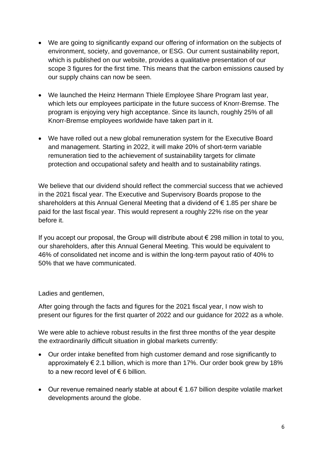- We are going to significantly expand our offering of information on the subjects of environment, society, and governance, or ESG. Our current sustainability report, which is published on our website, provides a qualitative presentation of our scope 3 figures for the first time. This means that the carbon emissions caused by our supply chains can now be seen.
- We launched the Heinz Hermann Thiele Employee Share Program last year, which lets our employees participate in the future success of Knorr-Bremse. The program is enjoying very high acceptance. Since its launch, roughly 25% of all Knorr-Bremse employees worldwide have taken part in it.
- We have rolled out a new global remuneration system for the Executive Board and management. Starting in 2022, it will make 20% of short-term variable remuneration tied to the achievement of sustainability targets for climate protection and occupational safety and health and to sustainability ratings.

We believe that our dividend should reflect the commercial success that we achieved in the 2021 fiscal year. The Executive and Supervisory Boards propose to the shareholders at this Annual General Meeting that a dividend of € 1.85 per share be paid for the last fiscal year. This would represent a roughly 22% rise on the year before it.

If you accept our proposal, the Group will distribute about  $\epsilon$  298 million in total to you, our shareholders, after this Annual General Meeting. This would be equivalent to 46% of consolidated net income and is within the long-term payout ratio of 40% to 50% that we have communicated.

Ladies and gentlemen,

After going through the facts and figures for the 2021 fiscal year, I now wish to present our figures for the first quarter of 2022 and our guidance for 2022 as a whole.

We were able to achieve robust results in the first three months of the year despite the extraordinarily difficult situation in global markets currently:

- Our order intake benefited from high customer demand and rose significantly to approximately  $\epsilon$  2.1 billion, which is more than 17%. Our order book grew by 18% to a new record level of  $\epsilon$  6 billion.
- Our revenue remained nearly stable at about € 1.67 billion despite volatile market developments around the globe.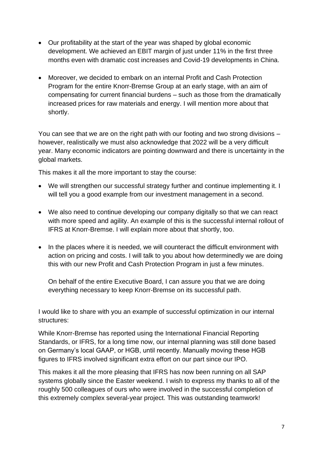- Our profitability at the start of the year was shaped by global economic development. We achieved an EBIT margin of just under 11% in the first three months even with dramatic cost increases and Covid-19 developments in China.
- Moreover, we decided to embark on an internal Profit and Cash Protection Program for the entire Knorr-Bremse Group at an early stage, with an aim of compensating for current financial burdens – such as those from the dramatically increased prices for raw materials and energy. I will mention more about that shortly.

You can see that we are on the right path with our footing and two strong divisions – however, realistically we must also acknowledge that 2022 will be a very difficult year. Many economic indicators are pointing downward and there is uncertainty in the global markets.

This makes it all the more important to stay the course:

- We will strengthen our successful strategy further and continue implementing it. I will tell you a good example from our investment management in a second.
- We also need to continue developing our company digitally so that we can react with more speed and agility. An example of this is the successful internal rollout of IFRS at Knorr-Bremse. I will explain more about that shortly, too.
- In the places where it is needed, we will counteract the difficult environment with action on pricing and costs. I will talk to you about how determinedly we are doing this with our new Profit and Cash Protection Program in just a few minutes.

On behalf of the entire Executive Board, I can assure you that we are doing everything necessary to keep Knorr-Bremse on its successful path.

I would like to share with you an example of successful optimization in our internal structures:

While Knorr-Bremse has reported using the International Financial Reporting Standards, or IFRS, for a long time now, our internal planning was still done based on Germany's local GAAP, or HGB, until recently. Manually moving these HGB figures to IFRS involved significant extra effort on our part since our IPO.

This makes it all the more pleasing that IFRS has now been running on all SAP systems globally since the Easter weekend. I wish to express my thanks to all of the roughly 500 colleagues of ours who were involved in the successful completion of this extremely complex several-year project. This was outstanding teamwork!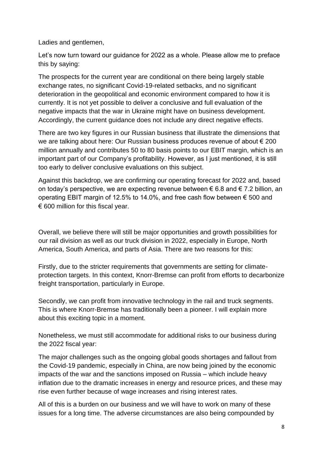Ladies and gentlemen,

Let's now turn toward our guidance for 2022 as a whole. Please allow me to preface this by saying:

The prospects for the current year are conditional on there being largely stable exchange rates, no significant Covid-19-related setbacks, and no significant deterioration in the geopolitical and economic environment compared to how it is currently. It is not yet possible to deliver a conclusive and full evaluation of the negative impacts that the war in Ukraine might have on business development. Accordingly, the current guidance does not include any direct negative effects.

There are two key figures in our Russian business that illustrate the dimensions that we are talking about here: Our Russian business produces revenue of about € 200 million annually and contributes 50 to 80 basis points to our EBIT margin, which is an important part of our Company's profitability. However, as I just mentioned, it is still too early to deliver conclusive evaluations on this subject.

Against this backdrop, we are confirming our operating forecast for 2022 and, based on today's perspective, we are expecting revenue between  $\epsilon$  6.8 and  $\epsilon$  7.2 billion, an operating EBIT margin of 12.5% to 14.0%, and free cash flow between € 500 and  $\epsilon$  600 million for this fiscal year.

Overall, we believe there will still be major opportunities and growth possibilities for our rail division as well as our truck division in 2022, especially in Europe, North America, South America, and parts of Asia. There are two reasons for this:

Firstly, due to the stricter requirements that governments are setting for climateprotection targets. In this context, Knorr-Bremse can profit from efforts to decarbonize freight transportation, particularly in Europe.

Secondly, we can profit from innovative technology in the rail and truck segments. This is where Knorr-Bremse has traditionally been a pioneer. I will explain more about this exciting topic in a moment.

Nonetheless, we must still accommodate for additional risks to our business during the 2022 fiscal year:

The major challenges such as the ongoing global goods shortages and fallout from the Covid-19 pandemic, especially in China, are now being joined by the economic impacts of the war and the sanctions imposed on Russia – which include heavy inflation due to the dramatic increases in energy and resource prices, and these may rise even further because of wage increases and rising interest rates.

All of this is a burden on our business and we will have to work on many of these issues for a long time. The adverse circumstances are also being compounded by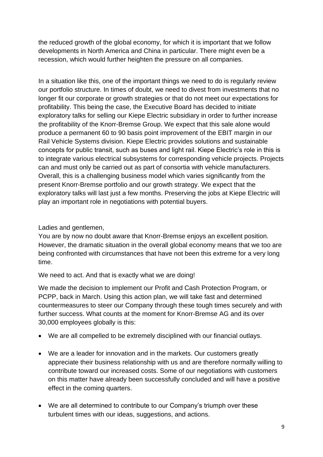the reduced growth of the global economy, for which it is important that we follow developments in North America and China in particular. There might even be a recession, which would further heighten the pressure on all companies.

In a situation like this, one of the important things we need to do is regularly review our portfolio structure. In times of doubt, we need to divest from investments that no longer fit our corporate or growth strategies or that do not meet our expectations for profitability. This being the case, the Executive Board has decided to initiate exploratory talks for selling our Kiepe Electric subsidiary in order to further increase the profitability of the Knorr-Bremse Group. We expect that this sale alone would produce a permanent 60 to 90 basis point improvement of the EBIT margin in our Rail Vehicle Systems division. Kiepe Electric provides solutions and sustainable concepts for public transit, such as buses and light rail. Kiepe Electric's role in this is to integrate various electrical subsystems for corresponding vehicle projects. Projects can and must only be carried out as part of consortia with vehicle manufacturers. Overall, this is a challenging business model which varies significantly from the present Knorr-Bremse portfolio and our growth strategy. We expect that the exploratory talks will last just a few months. Preserving the jobs at Kiepe Electric will play an important role in negotiations with potential buyers.

Ladies and gentlemen,

You are by now no doubt aware that Knorr-Bremse enjoys an excellent position. However, the dramatic situation in the overall global economy means that we too are being confronted with circumstances that have not been this extreme for a very long time.

We need to act. And that is exactly what we are doing!

We made the decision to implement our Profit and Cash Protection Program, or PCPP, back in March. Using this action plan, we will take fast and determined countermeasures to steer our Company through these tough times securely and with further success. What counts at the moment for Knorr-Bremse AG and its over 30,000 employees globally is this:

- We are all compelled to be extremely disciplined with our financial outlays.
- We are a leader for innovation and in the markets. Our customers greatly appreciate their business relationship with us and are therefore normally willing to contribute toward our increased costs. Some of our negotiations with customers on this matter have already been successfully concluded and will have a positive effect in the coming quarters.
- We are all determined to contribute to our Company's triumph over these turbulent times with our ideas, suggestions, and actions.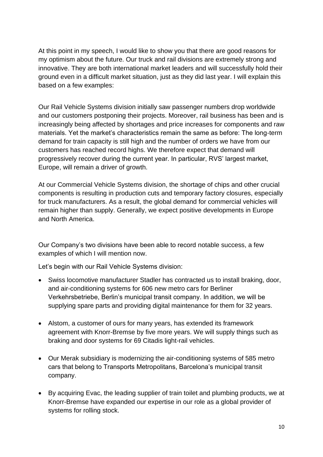At this point in my speech, I would like to show you that there are good reasons for my optimism about the future. Our truck and rail divisions are extremely strong and innovative. They are both international market leaders and will successfully hold their ground even in a difficult market situation, just as they did last year. I will explain this based on a few examples:

Our Rail Vehicle Systems division initially saw passenger numbers drop worldwide and our customers postponing their projects. Moreover, rail business has been and is increasingly being affected by shortages and price increases for components and raw materials. Yet the market's characteristics remain the same as before: The long-term demand for train capacity is still high and the number of orders we have from our customers has reached record highs. We therefore expect that demand will progressively recover during the current year. In particular, RVS' largest market, Europe, will remain a driver of growth.

At our Commercial Vehicle Systems division, the shortage of chips and other crucial components is resulting in production cuts and temporary factory closures, especially for truck manufacturers. As a result, the global demand for commercial vehicles will remain higher than supply. Generally, we expect positive developments in Europe and North America.

Our Company's two divisions have been able to record notable success, a few examples of which I will mention now.

Let's begin with our Rail Vehicle Systems division:

- Swiss locomotive manufacturer Stadler has contracted us to install braking, door, and air-conditioning systems for 606 new metro cars for Berliner Verkehrsbetriebe, Berlin's municipal transit company. In addition, we will be supplying spare parts and providing digital maintenance for them for 32 years.
- Alstom, a customer of ours for many years, has extended its framework agreement with Knorr-Bremse by five more years. We will supply things such as braking and door systems for 69 Citadis light-rail vehicles.
- Our Merak subsidiary is modernizing the air-conditioning systems of 585 metro cars that belong to Transports Metropolitans, Barcelona's municipal transit company.
- By acquiring Evac, the leading supplier of train toilet and plumbing products, we at Knorr-Bremse have expanded our expertise in our role as a global provider of systems for rolling stock.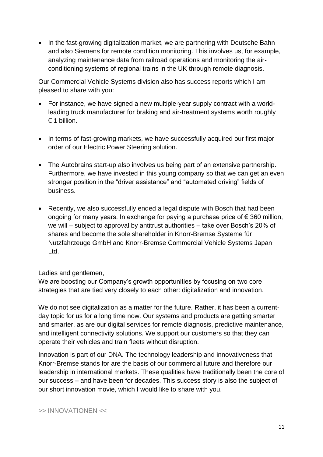• In the fast-growing digitalization market, we are partnering with Deutsche Bahn and also Siemens for remote condition monitoring. This involves us, for example, analyzing maintenance data from railroad operations and monitoring the airconditioning systems of regional trains in the UK through remote diagnosis.

Our Commercial Vehicle Systems division also has success reports which I am pleased to share with you:

- For instance, we have signed a new multiple-year supply contract with a worldleading truck manufacturer for braking and air-treatment systems worth roughly  $\epsilon$  1 billion
- In terms of fast-growing markets, we have successfully acquired our first major order of our Electric Power Steering solution.
- The Autobrains start-up also involves us being part of an extensive partnership. Furthermore, we have invested in this young company so that we can get an even stronger position in the "driver assistance" and "automated driving" fields of business.
- Recently, we also successfully ended a legal dispute with Bosch that had been ongoing for many years. In exchange for paying a purchase price of  $\epsilon$  360 million, we will – subject to approval by antitrust authorities – take over Bosch's 20% of shares and become the sole shareholder in Knorr-Bremse Systeme für Nutzfahrzeuge GmbH and Knorr-Bremse Commercial Vehicle Systems Japan Ltd.

## Ladies and gentlemen,

We are boosting our Company's growth opportunities by focusing on two core strategies that are tied very closely to each other: digitalization and innovation.

We do not see digitalization as a matter for the future. Rather, it has been a currentday topic for us for a long time now. Our systems and products are getting smarter and smarter, as are our digital services for remote diagnosis, predictive maintenance, and intelligent connectivity solutions. We support our customers so that they can operate their vehicles and train fleets without disruption.

Innovation is part of our DNA. The technology leadership and innovativeness that Knorr-Bremse stands for are the basis of our commercial future and therefore our leadership in international markets. These qualities have traditionally been the core of our success – and have been for decades. This success story is also the subject of our short innovation movie, which I would like to share with you.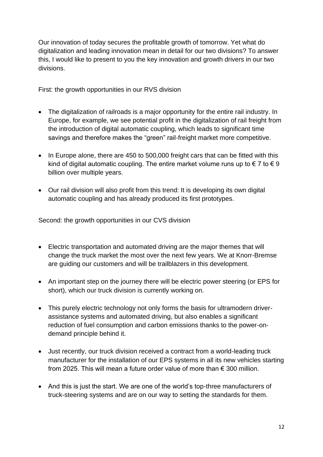Our innovation of today secures the profitable growth of tomorrow. Yet what do digitalization and leading innovation mean in detail for our two divisions? To answer this, I would like to present to you the key innovation and growth drivers in our two divisions.

First: the growth opportunities in our RVS division

- The digitalization of railroads is a major opportunity for the entire rail industry. In Europe, for example, we see potential profit in the digitalization of rail freight from the introduction of digital automatic coupling, which leads to significant time savings and therefore makes the "green" rail-freight market more competitive.
- In Europe alone, there are 450 to 500,000 freight cars that can be fitted with this kind of digital automatic coupling. The entire market volume runs up to  $\epsilon$  7 to  $\epsilon$  9 billion over multiple years.
- Our rail division will also profit from this trend: It is developing its own digital automatic coupling and has already produced its first prototypes.

Second: the growth opportunities in our CVS division

- Electric transportation and automated driving are the major themes that will change the truck market the most over the next few years. We at Knorr-Bremse are guiding our customers and will be trailblazers in this development.
- An important step on the journey there will be electric power steering (or EPS for short), which our truck division is currently working on.
- This purely electric technology not only forms the basis for ultramodern driverassistance systems and automated driving, but also enables a significant reduction of fuel consumption and carbon emissions thanks to the power-ondemand principle behind it.
- Just recently, our truck division received a contract from a world-leading truck manufacturer for the installation of our EPS systems in all its new vehicles starting from 2025. This will mean a future order value of more than € 300 million.
- And this is just the start. We are one of the world's top-three manufacturers of truck-steering systems and are on our way to setting the standards for them.